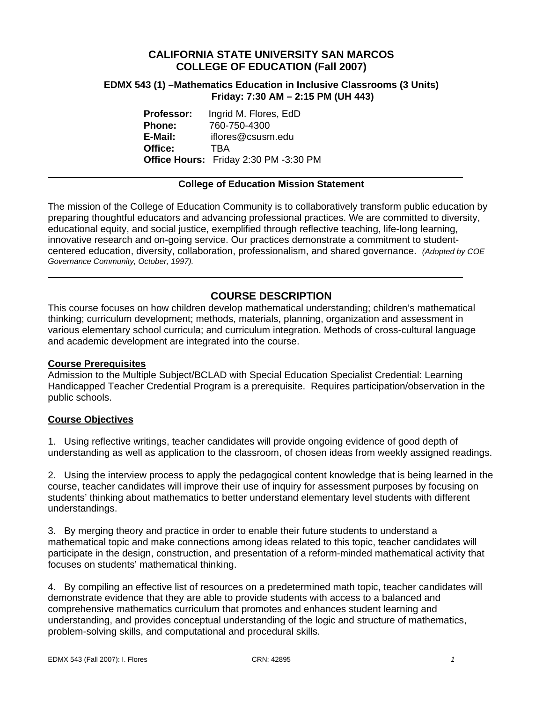# **CALIFORNIA STATE UNIVERSITY SAN MARCOS COLLEGE OF EDUCATION (Fall 2007)**

### **EDMX 543 (1) –Mathematics Education in Inclusive Classrooms (3 Units) Friday: 7:30 AM – 2:15 PM (UH 443)**

**Professor:** Ingrid M. Flores, EdD **Phone:** 760-750-4300 **E-Mail:** iflores@csusm.edu **Office:** TBA **Office Hours:** Friday 2:30 PM -3:30 PM

### **College of Education Mission Statement**

The mission of the College of Education Community is to collaboratively transform public education by preparing thoughtful educators and advancing professional practices. We are committed to diversity, educational equity, and social justice, exemplified through reflective teaching, life-long learning, innovative research and on-going service. Our practices demonstrate a commitment to studentcentered education, diversity, collaboration, professionalism, and shared governance. *(Adopted by COE Governance Community, October, 1997).* 

# **COURSE DESCRIPTION**

This course focuses on how children develop mathematical understanding; children's mathematical thinking; curriculum development; methods, materials, planning, organization and assessment in various elementary school curricula; and curriculum integration. Methods of cross-cultural language and academic development are integrated into the course.

### **Course Prerequisites**

Admission to the Multiple Subject/BCLAD with Special Education Specialist Credential: Learning Handicapped Teacher Credential Program is a prerequisite. Requires participation/observation in the public schools.

# **Course Objectives**

1. Using reflective writings, teacher candidates will provide ongoing evidence of good depth of understanding as well as application to the classroom, of chosen ideas from weekly assigned readings.

2. Using the interview process to apply the pedagogical content knowledge that is being learned in the course, teacher candidates will improve their use of inquiry for assessment purposes by focusing on students' thinking about mathematics to better understand elementary level students with different understandings.

3. By merging theory and practice in order to enable their future students to understand a mathematical topic and make connections among ideas related to this topic, teacher candidates will participate in the design, construction, and presentation of a reform-minded mathematical activity that focuses on students' mathematical thinking.

4. By compiling an effective list of resources on a predetermined math topic, teacher candidates will demonstrate evidence that they are able to provide students with access to a balanced and comprehensive mathematics curriculum that promotes and enhances student learning and understanding, and provides conceptual understanding of the logic and structure of mathematics, problem-solving skills, and computational and procedural skills.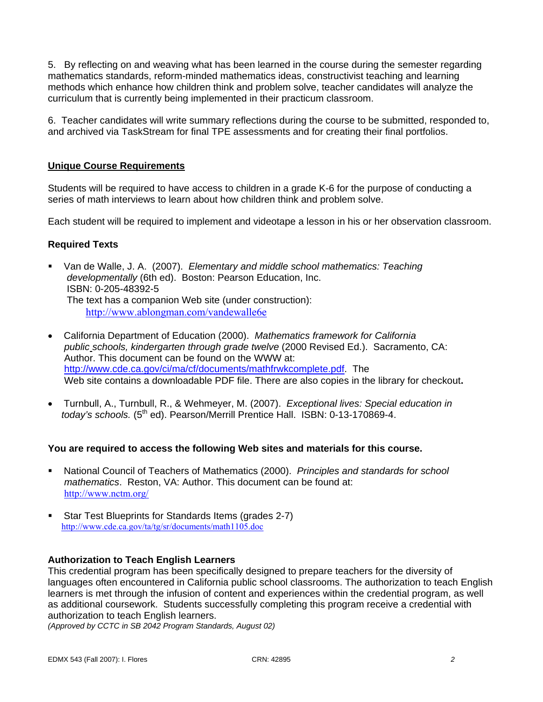5. By reflecting on and weaving what has been learned in the course during the semester regarding mathematics standards, reform-minded mathematics ideas, constructivist teaching and learning methods which enhance how children think and problem solve, teacher candidates will analyze the curriculum that is currently being implemented in their practicum classroom.

6. Teacher candidates will write summary reflections during the course to be submitted, responded to, and archived via TaskStream for final TPE assessments and for creating their final portfolios.

## **Unique Course Requirements**

Students will be required to have access to children in a grade K-6 for the purpose of conducting a series of math interviews to learn about how children think and problem solve.

Each student will be required to implement and videotape a lesson in his or her observation classroom.

### **Required Texts**

- Van de Walle, J. A. (2007). *Elementary and middle school mathematics: Teaching developmentally* (6th ed). Boston: Pearson Education, Inc. ISBN: 0-205-48392-5 The text has a companion Web site (under construction): http://www.ablongman.com/vandewalle6e
- California Department of Education (2000). *Mathematics framework for California public schools, kindergarten through grade twelve* (2000 Revised Ed.). Sacramento, CA: Author. This document can be found on the WWW at: http://www.cde.ca.gov/ci/ma/cf/documents/mathfrwkcomplete.pdf. The Web site contains a downloadable PDF file. There are also copies in the library for checkout**.**
- Turnbull, A., Turnbull, R., & Wehmeyer, M. (2007). *Exceptional lives: Special education in today's schools.* (5<sup>th</sup> ed). Pearson/Merrill Prentice Hall. ISBN: 0-13-170869-4.

### **You are required to access the following Web sites and materials for this course.**

- National Council of Teachers of Mathematics (2000). *Principles and standards for school mathematics*. Reston, VA: Author. This document can be found at: http://www.nctm.org/
- Star Test Blueprints for Standards Items (grades 2-7) http://www.cde.ca.gov/ta/tg/sr/documents/math1105.doc

### **Authorization to Teach English Learners**

This credential program has been specifically designed to prepare teachers for the diversity of languages often encountered in California public school classrooms. The authorization to teach English learners is met through the infusion of content and experiences within the credential program, as well as additional coursework. Students successfully completing this program receive a credential with authorization to teach English learners.

*(Approved by CCTC in SB 2042 Program Standards, August 02)*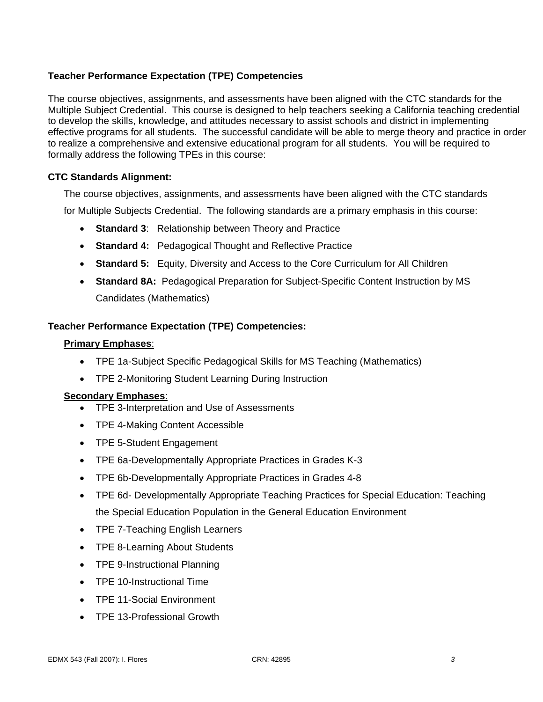# **Teacher Performance Expectation (TPE) Competencies**

The course objectives, assignments, and assessments have been aligned with the CTC standards for the Multiple Subject Credential. This course is designed to help teachers seeking a California teaching credential to develop the skills, knowledge, and attitudes necessary to assist schools and district in implementing effective programs for all students. The successful candidate will be able to merge theory and practice in order to realize a comprehensive and extensive educational program for all students. You will be required to formally address the following TPEs in this course:

# **CTC Standards Alignment:**

The course objectives, assignments, and assessments have been aligned with the CTC standards

for Multiple Subjects Credential. The following standards are a primary emphasis in this course:

- **Standard 3**: Relationship between Theory and Practice
- **Standard 4:** Pedagogical Thought and Reflective Practice
- **Standard 5:** Equity, Diversity and Access to the Core Curriculum for All Children
- **Standard 8A:** Pedagogical Preparation for Subject-Specific Content Instruction by MS Candidates (Mathematics)

### **Teacher Performance Expectation (TPE) Competencies:**

#### **Primary Emphases**:

- TPE 1a-Subject Specific Pedagogical Skills for MS Teaching (Mathematics)
- TPE 2-Monitoring Student Learning During Instruction

#### **Secondary Emphases**:

- TPE 3-Interpretation and Use of Assessments
- TPE 4-Making Content Accessible
- TPE 5-Student Engagement
- TPE 6a-Developmentally Appropriate Practices in Grades K-3
- TPE 6b-Developmentally Appropriate Practices in Grades 4-8
- TPE 6d- Developmentally Appropriate Teaching Practices for Special Education: Teaching the Special Education Population in the General Education Environment
- TPE 7-Teaching English Learners
- TPE 8-Learning About Students
- TPE 9-Instructional Planning
- TPE 10-Instructional Time
- TPE 11-Social Environment
- TPE 13-Professional Growth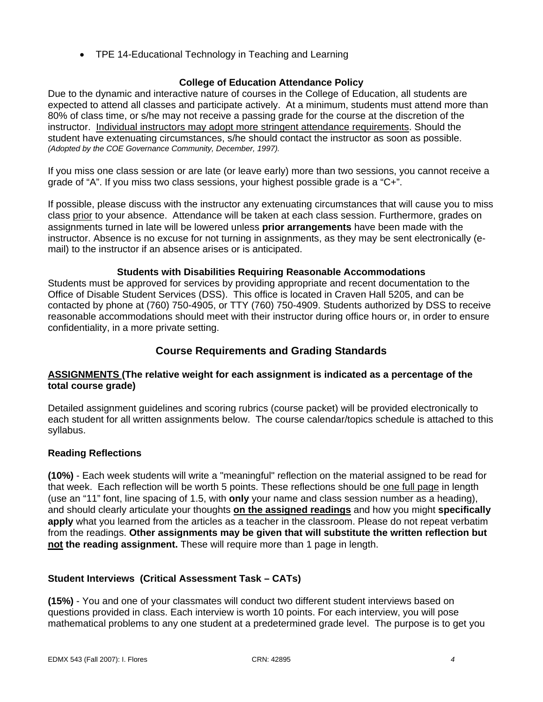• TPE 14-Educational Technology in Teaching and Learning

# **College of Education Attendance Policy**

Due to the dynamic and interactive nature of courses in the College of Education, all students are expected to attend all classes and participate actively. At a minimum, students must attend more than 80% of class time, or s/he may not receive a passing grade for the course at the discretion of the instructor. Individual instructors may adopt more stringent attendance requirements. Should the student have extenuating circumstances, s/he should contact the instructor as soon as possible. *(Adopted by the COE Governance Community, December, 1997).*

If you miss one class session or are late (or leave early) more than two sessions, you cannot receive a grade of "A". If you miss two class sessions, your highest possible grade is a " $C_{+}$ ".

If possible, please discuss with the instructor any extenuating circumstances that will cause you to miss class prior to your absence. Attendance will be taken at each class session. Furthermore, grades on assignments turned in late will be lowered unless **prior arrangements** have been made with the instructor. Absence is no excuse for not turning in assignments, as they may be sent electronically (email) to the instructor if an absence arises or is anticipated.

### **Students with Disabilities Requiring Reasonable Accommodations**

Students must be approved for services by providing appropriate and recent documentation to the Office of Disable Student Services (DSS). This office is located in Craven Hall 5205, and can be contacted by phone at (760) 750-4905, or TTY (760) 750-4909. Students authorized by DSS to receive reasonable accommodations should meet with their instructor during office hours or, in order to ensure confidentiality, in a more private setting.

# **Course Requirements and Grading Standards**

# **ASSIGNMENTS (The relative weight for each assignment is indicated as a percentage of the total course grade)**

Detailed assignment guidelines and scoring rubrics (course packet) will be provided electronically to each student for all written assignments below. The course calendar/topics schedule is attached to this syllabus.

# **Reading Reflections**

**(10%)** - Each week students will write a "meaningful" reflection on the material assigned to be read for that week. Each reflection will be worth 5 points. These reflections should be one full page in length (use an "11" font, line spacing of 1.5, with **only** your name and class session number as a heading), and should clearly articulate your thoughts **on the assigned readings** and how you might **specifically apply** what you learned from the articles as a teacher in the classroom. Please do not repeat verbatim from the readings. **Other assignments may be given that will substitute the written reflection but not the reading assignment.** These will require more than 1 page in length.

# **Student Interviews (Critical Assessment Task – CATs)**

**(15%)** - You and one of your classmates will conduct two different student interviews based on questions provided in class. Each interview is worth 10 points. For each interview, you will pose mathematical problems to any one student at a predetermined grade level. The purpose is to get you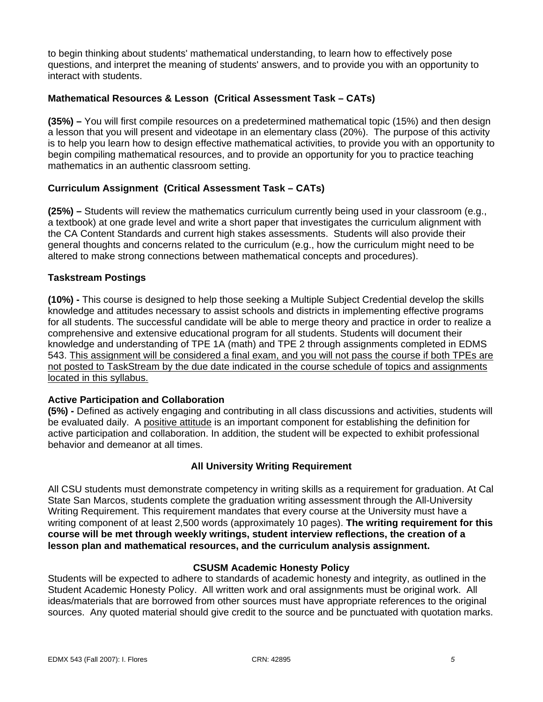to begin thinking about students' mathematical understanding, to learn how to effectively pose questions, and interpret the meaning of students' answers, and to provide you with an opportunity to interact with students.

# **Mathematical Resources & Lesson (Critical Assessment Task – CATs)**

**(35%) –** You will first compile resources on a predetermined mathematical topic (15%) and then design a lesson that you will present and videotape in an elementary class (20%). The purpose of this activity is to help you learn how to design effective mathematical activities, to provide you with an opportunity to begin compiling mathematical resources, and to provide an opportunity for you to practice teaching mathematics in an authentic classroom setting.

# **Curriculum Assignment (Critical Assessment Task – CATs)**

**(25%) –** Students will review the mathematics curriculum currently being used in your classroom (e.g., a textbook) at one grade level and write a short paper that investigates the curriculum alignment with the CA Content Standards and current high stakes assessments. Students will also provide their general thoughts and concerns related to the curriculum (e.g., how the curriculum might need to be altered to make strong connections between mathematical concepts and procedures).

# **Taskstream Postings**

**(10%) -** This course is designed to help those seeking a Multiple Subject Credential develop the skills knowledge and attitudes necessary to assist schools and districts in implementing effective programs for all students. The successful candidate will be able to merge theory and practice in order to realize a comprehensive and extensive educational program for all students. Students will document their knowledge and understanding of TPE 1A (math) and TPE 2 through assignments completed in EDMS 543. This assignment will be considered a final exam, and you will not pass the course if both TPEs are not posted to TaskStream by the due date indicated in the course schedule of topics and assignments located in this syllabus.

# **Active Participation and Collaboration**

**(5%) -** Defined as actively engaging and contributing in all class discussions and activities, students will be evaluated daily. A positive attitude is an important component for establishing the definition for active participation and collaboration. In addition, the student will be expected to exhibit professional behavior and demeanor at all times.

# **All University Writing Requirement**

All CSU students must demonstrate competency in writing skills as a requirement for graduation. At Cal State San Marcos, students complete the graduation writing assessment through the All-University Writing Requirement. This requirement mandates that every course at the University must have a writing component of at least 2,500 words (approximately 10 pages). **The writing requirement for this course will be met through weekly writings, student interview reflections, the creation of a lesson plan and mathematical resources, and the curriculum analysis assignment.**

### **CSUSM Academic Honesty Policy**

Students will be expected to adhere to standards of academic honesty and integrity, as outlined in the Student Academic Honesty Policy. All written work and oral assignments must be original work. All ideas/materials that are borrowed from other sources must have appropriate references to the original sources. Any quoted material should give credit to the source and be punctuated with quotation marks.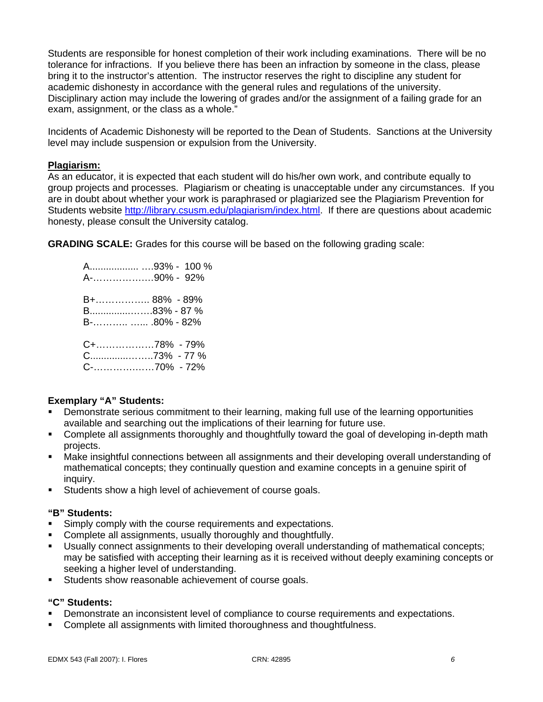Students are responsible for honest completion of their work including examinations. There will be no tolerance for infractions. If you believe there has been an infraction by someone in the class, please bring it to the instructor's attention. The instructor reserves the right to discipline any student for academic dishonesty in accordance with the general rules and regulations of the university. Disciplinary action may include the lowering of grades and/or the assignment of a failing grade for an exam, assignment, or the class as a whole."

Incidents of Academic Dishonesty will be reported to the Dean of Students. Sanctions at the University level may include suspension or expulsion from the University.

### **Plagiarism:**

As an educator, it is expected that each student will do his/her own work, and contribute equally to group projects and processes. Plagiarism or cheating is unacceptable under any circumstances. If you are in doubt about whether your work is paraphrased or plagiarized see the Plagiarism Prevention for Students website http://library.csusm.edu/plagiarism/index.html. If there are questions about academic honesty, please consult the University catalog.

**GRADING SCALE:** Grades for this course will be based on the following grading scale:

 A.................. ….93% - 100 % A-…………….…90% - 92% B+…………….. 88% - 89% B...............…….83% - 87 % B-……….. …... .80% - 82% C+………………78% - 79% C..............……..73% - 77 % C-………….……70% - 72%

### **Exemplary "A" Students:**

- Demonstrate serious commitment to their learning, making full use of the learning opportunities available and searching out the implications of their learning for future use.
- Complete all assignments thoroughly and thoughtfully toward the goal of developing in-depth math projects.
- Make insightful connections between all assignments and their developing overall understanding of mathematical concepts; they continually question and examine concepts in a genuine spirit of inquiry.
- Students show a high level of achievement of course goals.

## **"B" Students:**

- Simply comply with the course requirements and expectations.
- Complete all assignments, usually thoroughly and thoughtfully.
- Usually connect assignments to their developing overall understanding of mathematical concepts; may be satisfied with accepting their learning as it is received without deeply examining concepts or seeking a higher level of understanding.
- Students show reasonable achievement of course goals.

### **"C" Students:**

- Demonstrate an inconsistent level of compliance to course requirements and expectations.
- Complete all assignments with limited thoroughness and thoughtfulness.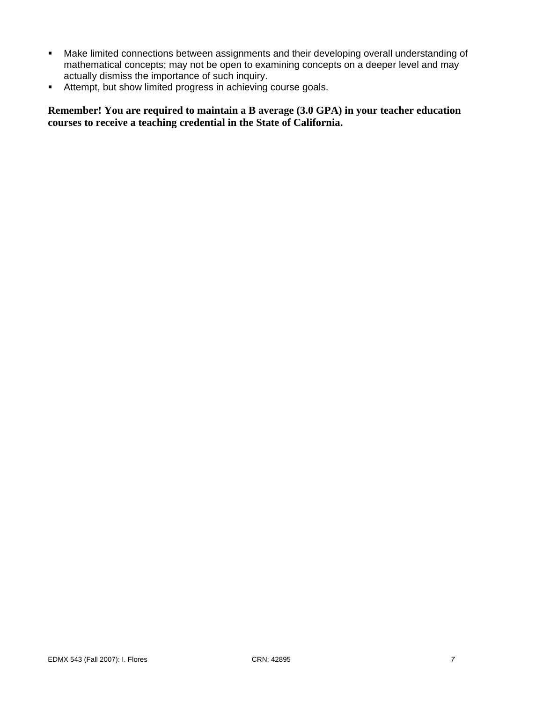- Make limited connections between assignments and their developing overall understanding of mathematical concepts; may not be open to examining concepts on a deeper level and may actually dismiss the importance of such inquiry.
- Attempt, but show limited progress in achieving course goals.

**Remember! You are required to maintain a B average (3.0 GPA) in your teacher education courses to receive a teaching credential in the State of California.**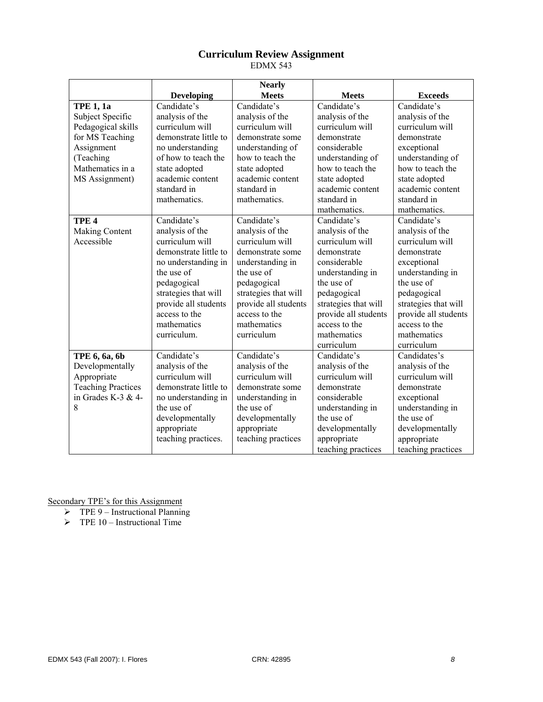# **Curriculum Review Assignment**

EDMX 543

|                           |                       | <b>Nearly</b>        |                      |                      |
|---------------------------|-----------------------|----------------------|----------------------|----------------------|
|                           | <b>Developing</b>     | <b>Meets</b>         | <b>Meets</b>         | <b>Exceeds</b>       |
| <b>TPE 1, 1a</b>          | Candidate's           | Candidate's          | Candidate's          | Candidate's          |
| Subject Specific          | analysis of the       | analysis of the      | analysis of the      | analysis of the      |
| Pedagogical skills        | curriculum will       | curriculum will      | curriculum will      | curriculum will      |
| for MS Teaching           | demonstrate little to | demonstrate some     | demonstrate          | demonstrate          |
| Assignment                | no understanding      | understanding of     | considerable         | exceptional          |
| (Teaching                 | of how to teach the   | how to teach the     | understanding of     | understanding of     |
| Mathematics in a          | state adopted         | state adopted        | how to teach the     | how to teach the     |
| MS Assignment)            | academic content      | academic content     | state adopted        | state adopted        |
|                           | standard in           | standard in          | academic content     | academic content     |
|                           | mathematics.          | mathematics.         | standard in          | standard in          |
|                           |                       |                      | mathematics.         | mathematics.         |
| TPE <sub>4</sub>          | Candidate's           | Candidate's          | Candidate's          | Candidate's          |
| <b>Making Content</b>     | analysis of the       | analysis of the      | analysis of the      | analysis of the      |
| Accessible                | curriculum will       | curriculum will      | curriculum will      | curriculum will      |
|                           | demonstrate little to | demonstrate some     | demonstrate          | demonstrate          |
|                           | no understanding in   | understanding in     | considerable         | exceptional          |
|                           | the use of            | the use of           | understanding in     | understanding in     |
|                           | pedagogical           | pedagogical          | the use of           | the use of           |
|                           | strategies that will  | strategies that will | pedagogical          | pedagogical          |
|                           | provide all students  | provide all students | strategies that will | strategies that will |
|                           | access to the         | access to the        | provide all students | provide all students |
|                           | mathematics           | mathematics          | access to the        | access to the        |
|                           | curriculum.           | curriculum           | mathematics          | mathematics          |
|                           |                       |                      | curriculum           | curriculum           |
| TPE 6, 6a, 6b             | Candidate's           | Candidate's          | Candidate's          | Candidates's         |
| Developmentally           | analysis of the       | analysis of the      | analysis of the      | analysis of the      |
| Appropriate               | curriculum will       | curriculum will      | curriculum will      | curriculum will      |
| <b>Teaching Practices</b> | demonstrate little to | demonstrate some     | demonstrate          | demonstrate          |
| in Grades K-3 & 4-        | no understanding in   | understanding in     | considerable         | exceptional          |
| 8                         | the use of            | the use of           | understanding in     | understanding in     |
|                           | developmentally       | developmentally      | the use of           | the use of           |
|                           | appropriate           | appropriate          | developmentally      | developmentally      |
|                           | teaching practices.   | teaching practices   | appropriate          | appropriate          |
|                           |                       |                      | teaching practices   | teaching practices   |

- $\triangleright$  TPE 9 Instructional Planning
- $\triangleright$  TPE 10 Instructional Time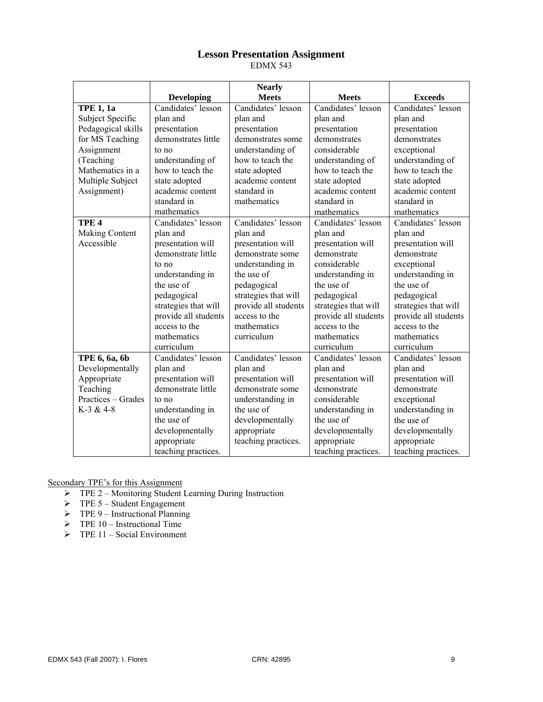### **Lesson Presentation Assignment**

EDMX 543

|                       |                      | <b>Nearly</b>        |                      |                      |
|-----------------------|----------------------|----------------------|----------------------|----------------------|
|                       | <b>Developing</b>    | <b>Meets</b>         | <b>Meets</b>         | <b>Exceeds</b>       |
| <b>TPE 1, 1a</b>      | Candidates' lesson   | Candidates' lesson   | Candidates' lesson   | Candidates' lesson   |
| Subject Specific      | plan and             | plan and             | plan and             | plan and             |
| Pedagogical skills    | presentation         | presentation         | presentation         | presentation         |
| for MS Teaching       | demonstrates little  | demonstrates some    | demonstrates         | demonstrates         |
| Assignment            | to no                | understanding of     | considerable         | exceptional          |
| (Teaching             | understanding of     | how to teach the     | understanding of     | understanding of     |
| Mathematics in a      | how to teach the     | state adopted        | how to teach the     | how to teach the     |
| Multiple Subject      | state adopted        | academic content     | state adopted        | state adopted        |
| Assignment)           | academic content     | standard in          | academic content     | academic content     |
|                       | standard in          | mathematics          | standard in          | standard in          |
|                       | mathematics          |                      | mathematics          | mathematics          |
| TPE <sub>4</sub>      | Candidates' lesson   | Candidates' lesson   | Candidates' lesson   | Candidates' lesson   |
| <b>Making Content</b> | plan and             | plan and             | plan and             | plan and             |
| Accessible            | presentation will    | presentation will    | presentation will    | presentation will    |
|                       | demonstrate little   | demonstrate some     | demonstrate          | demonstrate          |
|                       | to no                | understanding in     | considerable         | exceptional          |
|                       | understanding in     | the use of           | understanding in     | understanding in     |
|                       | the use of           | pedagogical          | the use of           | the use of           |
|                       | pedagogical          | strategies that will | pedagogical          | pedagogical          |
|                       | strategies that will | provide all students | strategies that will | strategies that will |
|                       | provide all students | access to the        | provide all students | provide all students |
|                       | access to the        | mathematics          | access to the        | access to the        |
|                       | mathematics          | curriculum           | mathematics          | mathematics          |
|                       | curriculum           |                      | curriculum           | curriculum           |
| TPE 6, 6a, 6b         | Candidates' lesson   | Candidates' lesson   | Candidates' lesson   | Candidates' lesson   |
| Developmentally       | plan and             | plan and             | plan and             | plan and             |
| Appropriate           | presentation will    | presentation will    | presentation will    | presentation will    |
| Teaching              | demonstrate little   | demonstrate some     | demonstrate          | demonstrate          |
| Practices - Grades    | to no                | understanding in     | considerable         | exceptional          |
| K-3 & 4-8             | understanding in     | the use of           | understanding in     | understanding in     |
|                       | the use of           | developmentally      | the use of           | the use of           |
|                       | developmentally      | appropriate          | developmentally      | developmentally      |
|                       | appropriate          | teaching practices.  | appropriate          | appropriate          |
|                       | teaching practices.  |                      | teaching practices.  | teaching practices.  |

- ¾ TPE 2 Monitoring Student Learning During Instruction
- $\triangleright$  TPE 5 Student Engagement
- $\triangleright$  TPE 9 Instructional Planning
- $\triangleright$  TPE 10 Instructional Time
- $\triangleright$  TPE 11 Social Environment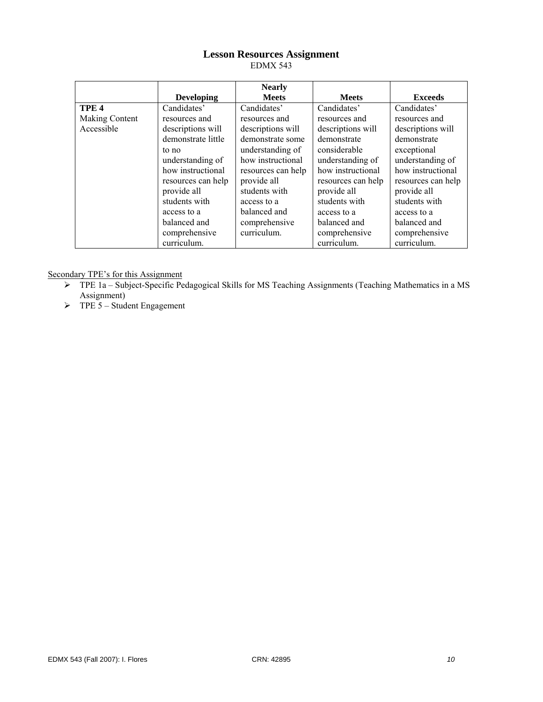# **Lesson Resources Assignment**

EDMX 543

|                       |                    | <b>Nearly</b>      |                    |                    |
|-----------------------|--------------------|--------------------|--------------------|--------------------|
|                       | <b>Developing</b>  | <b>Meets</b>       | <b>Meets</b>       | <b>Exceeds</b>     |
| TPE <sub>4</sub>      | Candidates'        | Candidates'        | Candidates'        | Candidates'        |
| <b>Making Content</b> | resources and      | resources and      | resources and      | resources and      |
| Accessible            | descriptions will  | descriptions will  | descriptions will  | descriptions will  |
|                       | demonstrate little | demonstrate some   | demonstrate        | demonstrate        |
|                       | to no              | understanding of   | considerable       | exceptional        |
|                       | understanding of   | how instructional  | understanding of   | understanding of   |
|                       | how instructional  | resources can help | how instructional  | how instructional  |
|                       | resources can help | provide all        | resources can help | resources can help |
|                       | provide all        | students with      | provide all        | provide all        |
|                       | students with      | access to a        | students with      | students with      |
|                       | access to a        | balanced and       | access to a        | access to a        |
|                       | balanced and       | comprehensive      | balanced and       | balanced and       |
|                       | comprehensive      | curriculum.        | comprehensive      | comprehensive      |
|                       | curriculum.        |                    | curriculum.        | curriculum.        |

- ¾ TPE 1a Subject-Specific Pedagogical Skills for MS Teaching Assignments (Teaching Mathematics in a MS Assignment)
- $\triangleright$  TPE 5 Student Engagement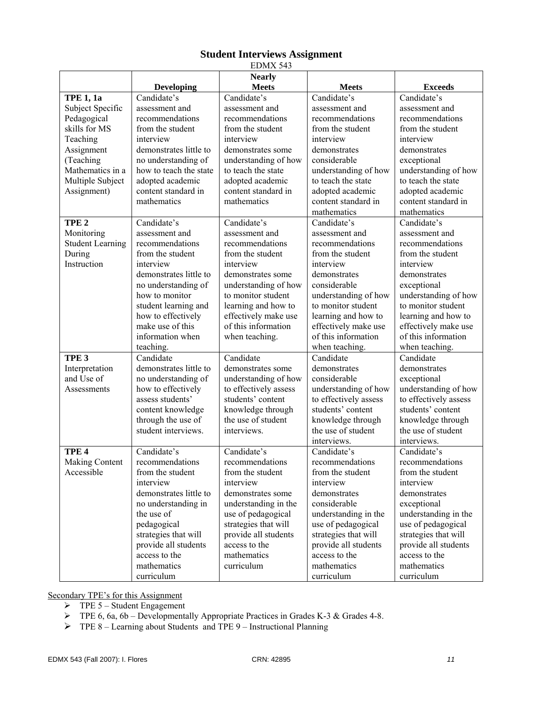#### **Student Interviews Assignment**  EDMX 543

|                         | <b>Developing</b>      | <b>Nearly</b><br><b>Meets</b> | <b>Meets</b>          | <b>Exceeds</b>        |
|-------------------------|------------------------|-------------------------------|-----------------------|-----------------------|
| <b>TPE 1, 1a</b>        | Candidate's            | Candidate's                   | Candidate's           | Candidate's           |
| Subject Specific        | assessment and         | assessment and                | assessment and        | assessment and        |
| Pedagogical             | recommendations        | recommendations               | recommendations       | recommendations       |
| skills for MS           | from the student       | from the student              | from the student      | from the student      |
| Teaching                | interview              | interview                     | interview             | interview             |
| Assignment              | demonstrates little to | demonstrates some             | demonstrates          | demonstrates          |
| (Teaching               | no understanding of    | understanding of how          | considerable          | exceptional           |
| Mathematics in a        | how to teach the state | to teach the state            | understanding of how  | understanding of how  |
| Multiple Subject        | adopted academic       | adopted academic              | to teach the state    | to teach the state    |
| Assignment)             | content standard in    | content standard in           | adopted academic      | adopted academic      |
|                         | mathematics            | mathematics                   | content standard in   | content standard in   |
|                         |                        |                               | mathematics           | mathematics           |
| TPE <sub>2</sub>        | Candidate's            | Candidate's                   | Candidate's           | Candidate's           |
| Monitoring              | assessment and         | assessment and                | assessment and        | assessment and        |
| <b>Student Learning</b> | recommendations        | recommendations               | recommendations       | recommendations       |
| During                  | from the student       | from the student              | from the student      | from the student      |
| Instruction             | interview              | interview                     | interview             | interview             |
|                         | demonstrates little to | demonstrates some             | demonstrates          | demonstrates          |
|                         | no understanding of    | understanding of how          | considerable          | exceptional           |
|                         | how to monitor         | to monitor student            | understanding of how  | understanding of how  |
|                         | student learning and   | learning and how to           | to monitor student    | to monitor student    |
|                         | how to effectively     | effectively make use          | learning and how to   | learning and how to   |
|                         | make use of this       | of this information           | effectively make use  | effectively make use  |
|                         | information when       | when teaching.                | of this information   | of this information   |
|                         | teaching.              |                               | when teaching.        | when teaching.        |
| TPE <sub>3</sub>        | Candidate              | Candidate                     | Candidate             | Candidate             |
| Interpretation          | demonstrates little to | demonstrates some             | demonstrates          | demonstrates          |
| and Use of              | no understanding of    | understanding of how          | considerable          | exceptional           |
| Assessments             | how to effectively     | to effectively assess         | understanding of how  | understanding of how  |
|                         | assess students'       | students' content             | to effectively assess | to effectively assess |
|                         | content knowledge      | knowledge through             | students' content     | students' content     |
|                         | through the use of     | the use of student            | knowledge through     | knowledge through     |
|                         | student interviews.    | interviews.                   | the use of student    | the use of student    |
|                         |                        |                               | interviews.           | interviews.           |
| TPE <sub>4</sub>        | Candidate's            | Candidate's                   | Candidate's           | Candidate's           |
| <b>Making Content</b>   | recommendations        | recommendations               | recommendations       | recommendations       |
| Accessible              | from the student       | from the student              | from the student      | from the student      |
|                         | interview              | interview                     | interview             | interview             |
|                         | demonstrates little to | demonstrates some             | demonstrates          | demonstrates          |
|                         | no understanding in    | understanding in the          | considerable          | exceptional           |
|                         | the use of             | use of pedagogical            | understanding in the  | understanding in the  |
|                         | pedagogical            | strategies that will          | use of pedagogical    | use of pedagogical    |
|                         | strategies that will   | provide all students          | strategies that will  | strategies that will  |
|                         | provide all students   | access to the                 | provide all students  | provide all students  |
|                         | access to the          | mathematics                   | access to the         | access to the         |
|                         | mathematics            | curriculum                    | mathematics           | mathematics           |
|                         | curriculum             |                               | curriculum            | curriculum            |
|                         |                        |                               |                       |                       |

- $\triangleright$  TPE 5 Student Engagement
- ¾ TPE 6, 6a, 6b Developmentally Appropriate Practices in Grades K-3 & Grades 4-8.
- ¾ TPE 8 Learning about Students and TPE 9 Instructional Planning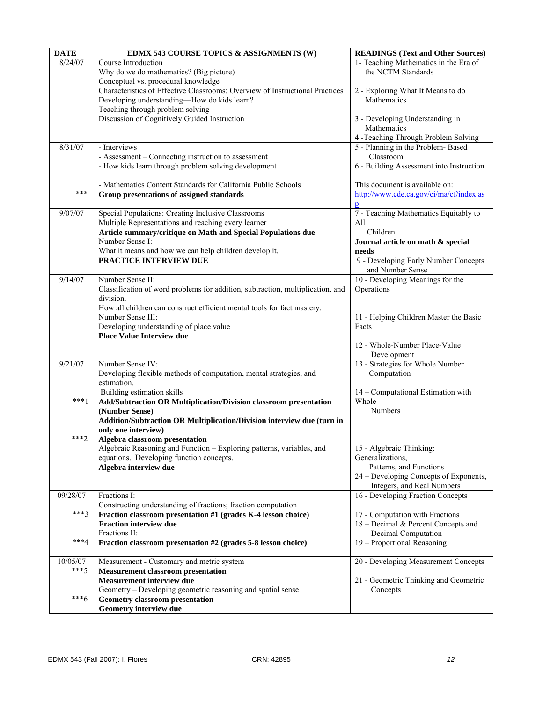| <b>DATE</b>        | EDMX 543 COURSE TOPICS & ASSIGNMENTS (W)                                       | <b>READINGS (Text and Other Sources)</b>   |
|--------------------|--------------------------------------------------------------------------------|--------------------------------------------|
| 8/24/07            | Course Introduction                                                            | 1- Teaching Mathematics in the Era of      |
|                    | Why do we do mathematics? (Big picture)                                        | the NCTM Standards                         |
|                    | Conceptual vs. procedural knowledge                                            |                                            |
|                    | Characteristics of Effective Classrooms: Overview of Instructional Practices   | 2 - Exploring What It Means to do          |
|                    | Developing understanding-How do kids learn?                                    | Mathematics                                |
|                    | Teaching through problem solving                                               |                                            |
|                    | Discussion of Cognitively Guided Instruction                                   | 3 - Developing Understanding in            |
|                    |                                                                                | Mathematics                                |
|                    |                                                                                | 4 -Teaching Through Problem Solving        |
| 8/31/07            | - Interviews                                                                   | 5 - Planning in the Problem-Based          |
|                    | - Assessment – Connecting instruction to assessment                            | Classroom                                  |
|                    | - How kids learn through problem solving development                           | 6 - Building Assessment into Instruction   |
|                    |                                                                                |                                            |
|                    | - Mathematics Content Standards for California Public Schools                  | This document is available on:             |
| $***$              | Group presentations of assigned standards                                      | http://www.cde.ca.gov/ci/ma/cf/index.as    |
|                    |                                                                                |                                            |
| 9/07/07            | Special Populations: Creating Inclusive Classrooms                             | 7 - Teaching Mathematics Equitably to      |
|                    | Multiple Representations and reaching every learner                            | All                                        |
|                    | Article summary/critique on Math and Special Populations due                   | Children                                   |
|                    | Number Sense I:                                                                |                                            |
|                    | What it means and how we can help children develop it.                         | Journal article on math & special<br>needs |
|                    |                                                                                |                                            |
|                    | PRACTICE INTERVIEW DUE                                                         | 9 - Developing Early Number Concepts       |
|                    |                                                                                | and Number Sense                           |
| 9/14/07            | Number Sense II:                                                               | 10 - Developing Meanings for the           |
|                    | Classification of word problems for addition, subtraction, multiplication, and | Operations                                 |
|                    | division.                                                                      |                                            |
|                    | How all children can construct efficient mental tools for fact mastery.        |                                            |
|                    | Number Sense III:                                                              | 11 - Helping Children Master the Basic     |
|                    | Developing understanding of place value                                        | Facts                                      |
|                    | <b>Place Value Interview due</b>                                               |                                            |
|                    |                                                                                | 12 - Whole-Number Place-Value              |
|                    |                                                                                | Development                                |
| 9/21/07            | Number Sense IV:                                                               | 13 - Strategies for Whole Number           |
|                    | Developing flexible methods of computation, mental strategies, and             | Computation                                |
|                    | estimation.                                                                    |                                            |
|                    | Building estimation skills                                                     | 14 - Computational Estimation with         |
| $***1$             | Add/Subtraction OR Multiplication/Division classroom presentation              | Whole                                      |
|                    | (Number Sense)                                                                 | Numbers                                    |
|                    | Addition/Subtraction OR Multiplication/Division interview due (turn in         |                                            |
| $***2$             | only one interview)                                                            |                                            |
|                    | Algebra classroom presentation                                                 |                                            |
|                    | Algebraic Reasoning and Function - Exploring patterns, variables, and          | 15 - Algebraic Thinking:                   |
|                    | equations. Developing function concepts.                                       | Generalizations,                           |
|                    | Algebra interview due                                                          | Patterns, and Functions                    |
|                    |                                                                                | 24 – Developing Concepts of Exponents,     |
|                    |                                                                                | Integers, and Real Numbers                 |
| 09/28/07           | Fractions I:                                                                   | 16 - Developing Fraction Concepts          |
|                    | Constructing understanding of fractions; fraction computation                  |                                            |
| $***3$             | Fraction classroom presentation #1 (grades K-4 lesson choice)                  | 17 - Computation with Fractions            |
|                    | <b>Fraction interview due</b>                                                  | 18 – Decimal & Percent Concepts and        |
|                    | Fractions II:                                                                  | Decimal Computation                        |
| $***4$             | Fraction classroom presentation #2 (grades 5-8 lesson choice)                  | 19 - Proportional Reasoning                |
|                    |                                                                                |                                            |
| 10/05/07<br>$***5$ | Measurement - Customary and metric system                                      | 20 - Developing Measurement Concepts       |
|                    | <b>Measurement classroom presentation</b>                                      |                                            |
|                    | Measurement interview due                                                      | 21 - Geometric Thinking and Geometric      |
|                    | Geometry - Developing geometric reasoning and spatial sense                    | Concepts                                   |
| $***6$             | <b>Geometry classroom presentation</b>                                         |                                            |
|                    | <b>Geometry interview due</b>                                                  |                                            |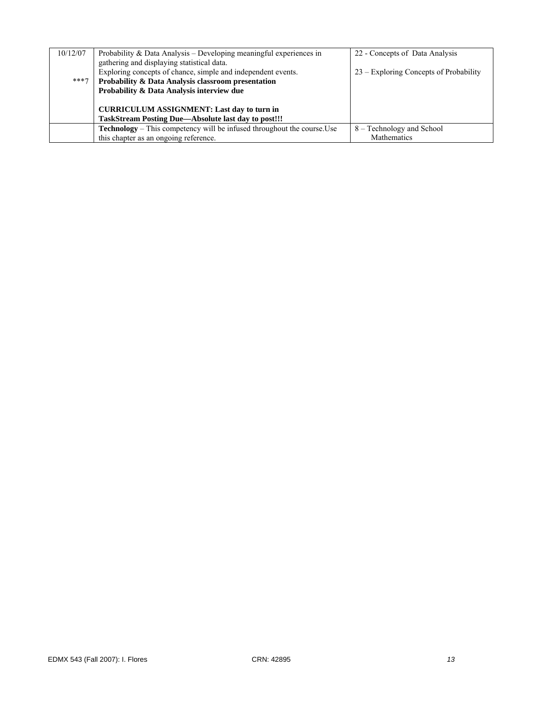| 10/12/07 | Probability $& Data Analysis - Development$ meaningful experiences in          | 22 - Concepts of Data Analysis         |
|----------|--------------------------------------------------------------------------------|----------------------------------------|
|          | gathering and displaying statistical data.                                     |                                        |
|          | Exploring concepts of chance, simple and independent events.                   | 23 – Exploring Concepts of Probability |
| $***7$   | Probability & Data Analysis classroom presentation                             |                                        |
|          | Probability & Data Analysis interview due                                      |                                        |
|          |                                                                                |                                        |
|          | <b>CURRICULUM ASSIGNMENT: Last day to turn in</b>                              |                                        |
|          | <b>TaskStream Posting Due—Absolute last day to post!!!</b>                     |                                        |
|          | <b>Technology</b> – This competency will be infused throughout the course. Use | 8 – Technology and School              |
|          | this chapter as an ongoing reference.                                          | Mathematics                            |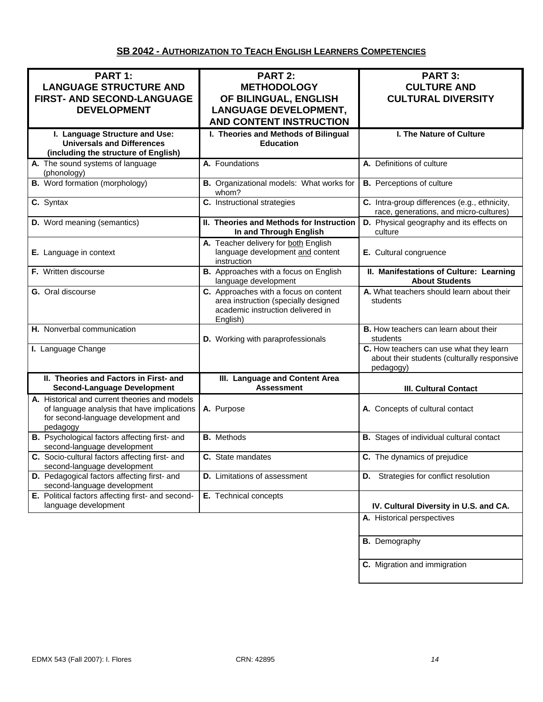# **SB 2042 - AUTHORIZATION TO TEACH ENGLISH LEARNERS COMPETENCIES**

| PART 1:<br><b>LANGUAGE STRUCTURE AND</b><br>FIRST- AND SECOND-LANGUAGE<br><b>DEVELOPMENT</b>                                                    | <b>PART 2:</b><br><b>METHODOLOGY</b><br>OF BILINGUAL, ENGLISH<br><b>LANGUAGE DEVELOPMENT,</b><br><b>AND CONTENT INSTRUCTION</b> | <b>PART 3:</b><br><b>CULTURE AND</b><br><b>CULTURAL DIVERSITY</b>                                   |
|-------------------------------------------------------------------------------------------------------------------------------------------------|---------------------------------------------------------------------------------------------------------------------------------|-----------------------------------------------------------------------------------------------------|
| I. Language Structure and Use:<br><b>Universals and Differences</b><br>(including the structure of English)                                     | I. Theories and Methods of Bilingual<br><b>Education</b>                                                                        | I. The Nature of Culture                                                                            |
| A. The sound systems of language<br>(phonology)                                                                                                 | A. Foundations                                                                                                                  | A. Definitions of culture                                                                           |
| <b>B.</b> Word formation (morphology)                                                                                                           | B. Organizational models: What works for<br>whom?                                                                               | <b>B.</b> Perceptions of culture                                                                    |
| C. Syntax                                                                                                                                       | C. Instructional strategies                                                                                                     | C. Intra-group differences (e.g., ethnicity,<br>race, generations, and micro-cultures)              |
| D. Word meaning (semantics)                                                                                                                     | II. Theories and Methods for Instruction<br>In and Through English                                                              | D. Physical geography and its effects on<br>culture                                                 |
| E. Language in context                                                                                                                          | A. Teacher delivery for both English<br>language development and content<br>instruction                                         | E. Cultural congruence                                                                              |
| F. Written discourse                                                                                                                            | B. Approaches with a focus on English<br>language development                                                                   | II. Manifestations of Culture: Learning<br><b>About Students</b>                                    |
| G. Oral discourse                                                                                                                               | C. Approaches with a focus on content<br>area instruction (specially designed<br>academic instruction delivered in<br>English)  | A. What teachers should learn about their<br>students                                               |
| H. Nonverbal communication                                                                                                                      | D. Working with paraprofessionals                                                                                               | B. How teachers can learn about their<br>students                                                   |
| I. Language Change                                                                                                                              |                                                                                                                                 | C. How teachers can use what they learn<br>about their students (culturally responsive<br>pedagogy) |
| II. Theories and Factors in First- and<br><b>Second-Language Development</b>                                                                    | III. Language and Content Area<br><b>Assessment</b>                                                                             | <b>III. Cultural Contact</b>                                                                        |
| A. Historical and current theories and models<br>of language analysis that have implications<br>for second-language development and<br>pedagogy | A. Purpose                                                                                                                      | A. Concepts of cultural contact                                                                     |
| B. Psychological factors affecting first- and<br>second-language development                                                                    | <b>B.</b> Methods                                                                                                               | <b>B.</b> Stages of individual cultural contact                                                     |
| C. Socio-cultural factors affecting first- and<br>second-language development                                                                   | C. State mandates                                                                                                               | C. The dynamics of prejudice                                                                        |
| D. Pedagogical factors affecting first- and<br>second-language development                                                                      | <b>D.</b> Limitations of assessment                                                                                             | <b>D.</b> Strategies for conflict resolution                                                        |
| E. Political factors affecting first- and second-<br>language development                                                                       | E. Technical concepts                                                                                                           | IV. Cultural Diversity in U.S. and CA.                                                              |
|                                                                                                                                                 |                                                                                                                                 | A. Historical perspectives                                                                          |
|                                                                                                                                                 |                                                                                                                                 | <b>B.</b> Demography                                                                                |
|                                                                                                                                                 |                                                                                                                                 | C. Migration and immigration                                                                        |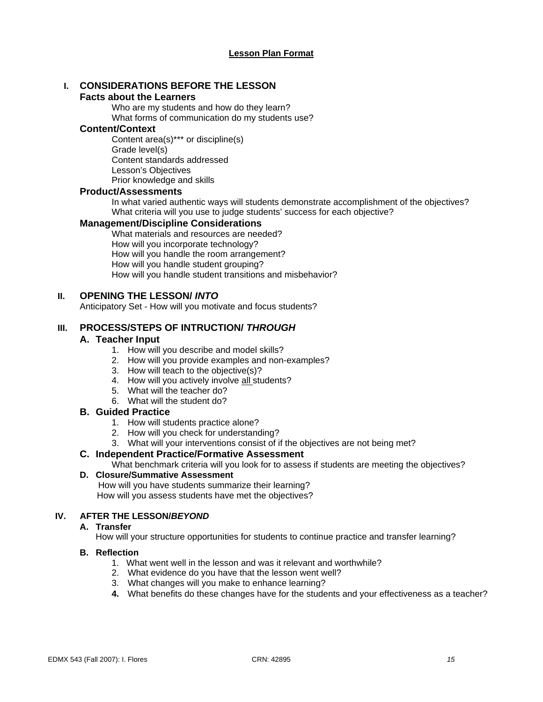# **I. CONSIDERATIONS BEFORE THE LESSON**

### **Facts about the Learners**

Who are my students and how do they learn? What forms of communication do my students use?

#### **Content/Context**

Content area(s)\*\*\* or discipline(s) Grade level(s) Content standards addressed Lesson's Objectives Prior knowledge and skills

#### **Product/Assessments**

In what varied authentic ways will students demonstrate accomplishment of the objectives? What criteria will you use to judge students' success for each objective?

### **Management/Discipline Considerations**

What materials and resources are needed? How will you incorporate technology? How will you handle the room arrangement? How will you handle student grouping? How will you handle student transitions and misbehavior?

### **II. OPENING THE LESSON/** *INTO*

Anticipatory Set - How will you motivate and focus students?

### **III. PROCESS/STEPS OF INTRUCTION/** *THROUGH*

### **A. Teacher Input**

- 1. How will you describe and model skills?
- 2. How will you provide examples and non-examples?
- 3. How will teach to the objective(s)?
- 4. How will you actively involve all students?
- 5. What will the teacher do?
- 6. What will the student do?

### **B. Guided Practice**

- 1. How will students practice alone?
- 2. How will you check for understanding?
- 3. What will your interventions consist of if the objectives are not being met?

### **C. Independent Practice/Formative Assessment**

What benchmark criteria will you look for to assess if students are meeting the objectives?

### **D. Closure/Summative Assessment**

 How will you have students summarize their learning? How will you assess students have met the objectives?

### **IV. AFTER THE LESSON/***BEYOND*

### **A. Transfer**

How will your structure opportunities for students to continue practice and transfer learning?

### **B. Reflection**

- 1. What went well in the lesson and was it relevant and worthwhile?
- 2. What evidence do you have that the lesson went well?
- 3. What changes will you make to enhance learning?
- **4.** What benefits do these changes have for the students and your effectiveness as a teacher?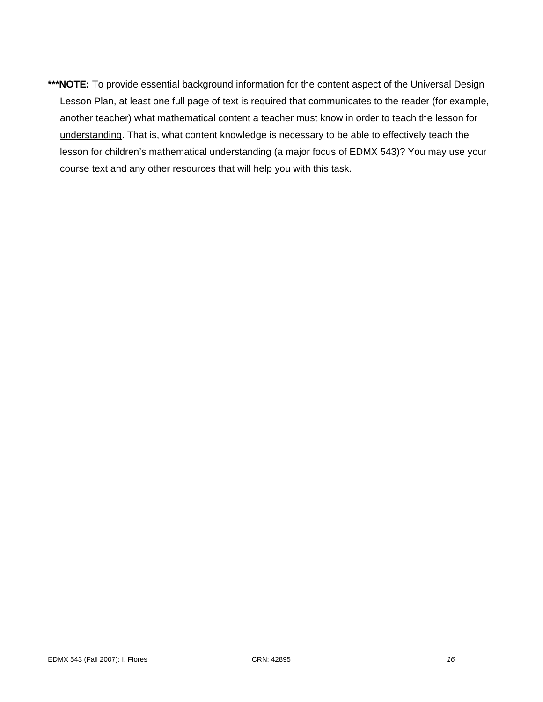**\*\*\*NOTE:** To provide essential background information for the content aspect of the Universal Design Lesson Plan, at least one full page of text is required that communicates to the reader (for example, another teacher) what mathematical content a teacher must know in order to teach the lesson for understanding. That is, what content knowledge is necessary to be able to effectively teach the lesson for children's mathematical understanding (a major focus of EDMX 543)? You may use your course text and any other resources that will help you with this task.